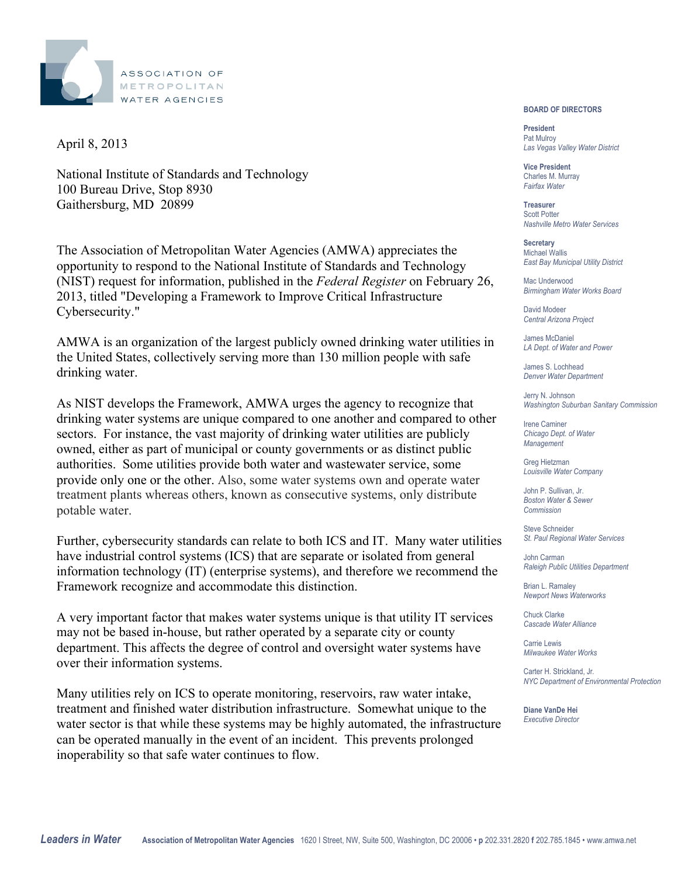

April 8, 2013

National Institute of Standards and Technology 100 Bureau Drive, Stop 8930 Gaithersburg, MD 20899

The Association of Metropolitan Water Agencies (AMWA) appreciates the opportunity to respond to the National Institute of Standards and Technology (NIST) request for information, published in the *Federal Register* on February 26, 2013, titled "Developing a Framework to Improve Critical Infrastructure Cybersecurity."

AMWA is an organization of the largest publicly owned drinking water utilities in the United States, collectively serving more than 130 million people with safe drinking water.

As NIST develops the Framework, AMWA urges the agency to recognize that drinking water systems are unique compared to one another and compared to other sectors. For instance, the vast majority of drinking water utilities are publicly owned, either as part of municipal or county governments or as distinct public authorities. Some utilities provide both water and wastewater service, some provide only one or the other. Also, some water systems own and operate water treatment plants whereas others, known as consecutive systems, only distribute potable water.

Further, cybersecurity standards can relate to both ICS and IT. Many water utilities have industrial control systems (ICS) that are separate or isolated from general information technology (IT) (enterprise systems), and therefore we recommend the Framework recognize and accommodate this distinction.

A very important factor that makes water systems unique is that utility IT services may not be based in-house, but rather operated by a separate city or county department. This affects the degree of control and oversight water systems have over their information systems.

Many utilities rely on ICS to operate monitoring, reservoirs, raw water intake, treatment and finished water distribution infrastructure. Somewhat unique to the water sector is that while these systems may be highly automated, the infrastructure can be operated manually in the event of an incident. This prevents prolonged inoperability so that safe water continues to flow.

**BOARD OF DIRECTORS** 

 Pat Mulroy **President**  *Las Vegas Valley Water District* 

 Charles M. Murray **Vice President**  *Fairfax Water* 

**Treasurer**  Scott Potter *Nashville Metro Water Services* 

 *East Bay Municipal Utility District*  **Secretary**  Michael Wallis

 *Birmingham Water Works Board*  Mac Underwood

 *Central Arizona Project*  David Modeer

 James McDaniel  *LA Dept. of Water and Power* 

 *Denver Water Department*  James S. Lochhead

 *Washington Suburban Sanitary Commission*  Jerry N. Johnson

 *Chicago Dept. of Water*  Irene Caminer *Management* 

Greg Hietzman *Louisville Water Company* 

 John P. Sullivan, Jr.  *Boston Water & Sewer Commission* 

 *St. Paul Regional Water Services*  Steve Schneider

 *Raleigh Public Utilities Department*  John Carman

 *Newport News Waterworks*  Brian L. Ramaley

 *Cascade Water Alliance*  Chuck Clarke

 *Milwaukee Water Works* Carrie Lewis

 Carter H. Strickland, Jr*. NYC Department of Environmental Protection*

 **Diane VanDe Hei**  *Executive Director*